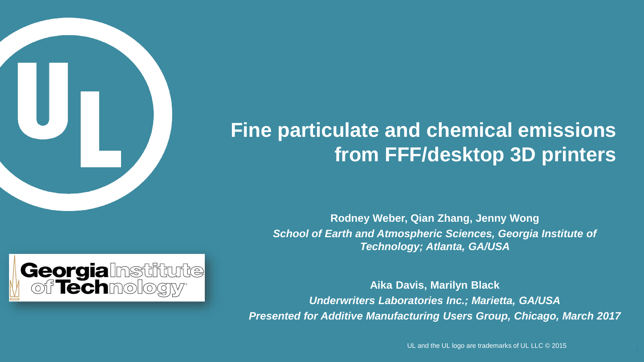

# **Fine particulate and chemical emissions from FFF/desktop 3D printers**

**Rodney Weber, Qian Zhang, Jenny Wong** *School of Earth and Atmospheric Sciences, Georgia Institute of Technology; Atlanta, GA/USA* 





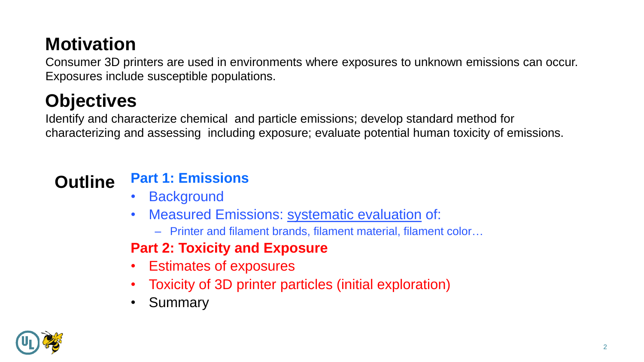# **Motivation**

Consumer 3D printers are used in environments where exposures to unknown emissions can occur. Exposures include susceptible populations.

# **Objectives**

Identify and characterize chemical and particle emissions; develop standard method for characterizing and assessing including exposure; evaluate potential human toxicity of emissions.

## **Outline Part 1: Emissions**

- Background
- Measured Emissions: systematic evaluation of:
	- Printer and filament brands, filament material, filament color…

### **Part 2: Toxicity and Exposure**

- Estimates of exposures
- Toxicity of 3D printer particles (initial exploration)
- Summary

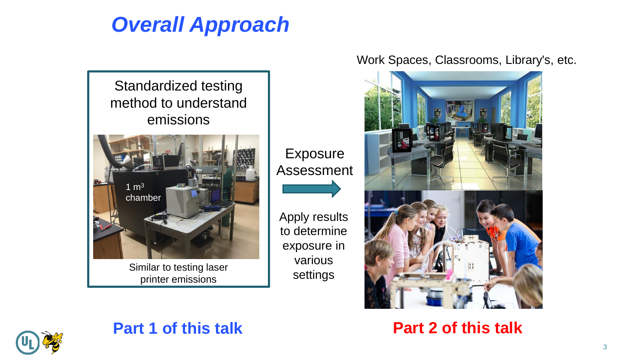# *Overall Approach*



Exposure Assessment

Apply results to determine exposure in various settings

#### Work Spaces, Classrooms, Library's, etc.



**Part 2 of this talk**



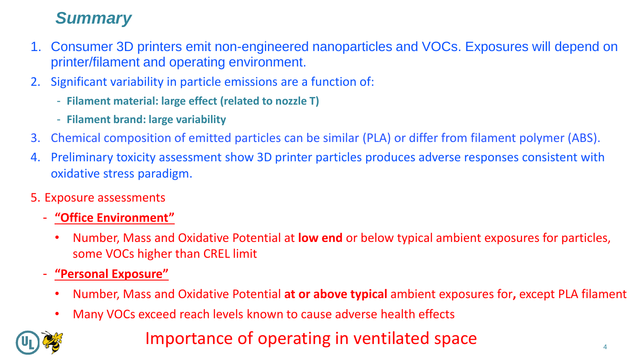### *Summary*

- 1. Consumer 3D printers emit non-engineered nanoparticles and VOCs. Exposures will depend on printer/filament and operating environment.
- 2. Significant variability in particle emissions are a function of:
	- **Filament material: large effect (related to nozzle T)**
	- **Filament brand: large variability**
- 3. Chemical composition of emitted particles can be similar (PLA) or differ from filament polymer (ABS).
- 4. Preliminary toxicity assessment show 3D printer particles produces adverse responses consistent with oxidative stress paradigm.
- 5. Exposure assessments
	- **"Office Environment"** 
		- Number, Mass and Oxidative Potential at **low end** or below typical ambient exposures for particles, some VOCs higher than CREL limit
	- **"Personal Exposure"**
		- Number, Mass and Oxidative Potential **at or above typical** ambient exposures for**,** except PLA filament
		- Many VOCs exceed reach levels known to cause adverse health effects

### Importance of operating in ventilated space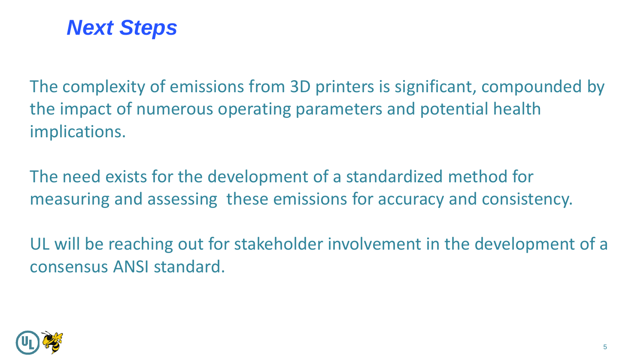

The complexity of emissions from 3D printers is significant, compounded by the impact of numerous operating parameters and potential health implications.

The need exists for the development of a standardized method for measuring and assessing these emissions for accuracy and consistency.

UL will be reaching out for stakeholder involvement in the development of a consensus ANSI standard.